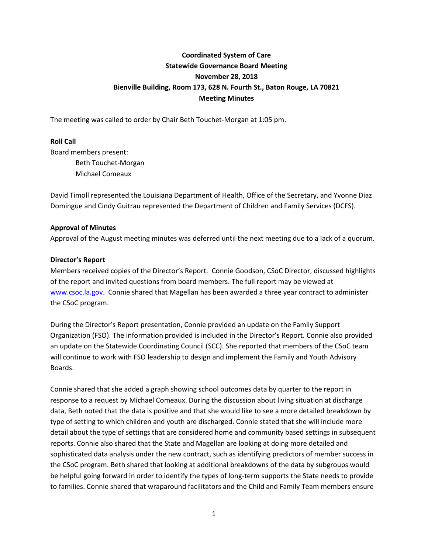# **Coordinated System of Care Statewide Governance Board Meeting November 28, 2018 Bienville Building, Room 173, 628 N. Fourth St., Baton Rouge, LA 70821 Meeting Minutes**

The meeting was called to order by Chair Beth Touchet-Morgan at 1:05 pm.

## **Roll Call**

Board members present: Beth Touchet-Morgan Michael Comeaux

David Timoll represented the Louisiana Department of Health, Office of the Secretary, and Yvonne Diaz Domingue and Cindy Guitrau represented the Department of Children and Family Services (DCFS).

#### **Approval of Minutes**

Approval of the August meeting minutes was deferred until the next meeting due to a lack of a quorum.

#### **Director's Report**

Members received copies of the Director's Report. Connie Goodson, CSoC Director, discussed highlights of the report and invited questions from board members. The full report may be viewed at [www.csoc.la.gov.](http://www.csoc.la.gov/) Connie shared that Magellan has been awarded a three year contract to administer the CSoC program.

During the Director's Report presentation, Connie provided an update on the Family Support Organization (FSO). The information provided is included in the Director's Report. Connie also provided an update on the Statewide Coordinating Council (SCC). She reported that members of the CSoC team will continue to work with FSO leadership to design and implement the Family and Youth Advisory Boards.

Connie shared that she added a graph showing school outcomes data by quarter to the report in response to a request by Michael Comeaux. During the discussion about living situation at discharge data, Beth noted that the data is positive and that she would like to see a more detailed breakdown by type of setting to which children and youth are discharged. Connie stated that she will include more detail about the type of settings that are considered home and community based settings in subsequent reports. Connie also shared that the State and Magellan are looking at doing more detailed and sophisticated data analysis under the new contract, such as identifying predictors of member success in the CSoC program. Beth shared that looking at additional breakdowns of the data by subgroups would be helpful going forward in order to identify the types of long-term supports the State needs to provide to families. Connie shared that wraparound facilitators and the Child and Family Team members ensure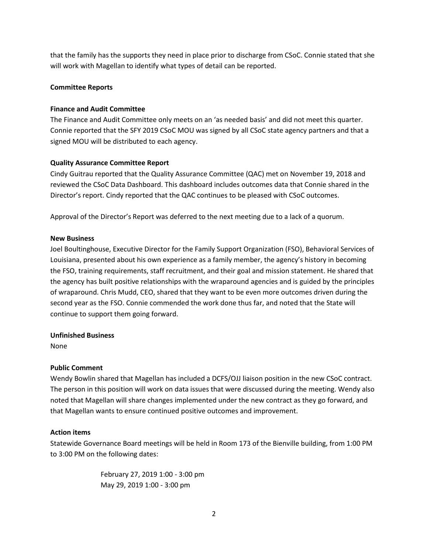that the family has the supports they need in place prior to discharge from CSoC. Connie stated that she will work with Magellan to identify what types of detail can be reported.

# **Committee Reports**

## **Finance and Audit Committee**

The Finance and Audit Committee only meets on an 'as needed basis' and did not meet this quarter. Connie reported that the SFY 2019 CSoC MOU was signed by all CSoC state agency partners and that a signed MOU will be distributed to each agency.

# **Quality Assurance Committee Report**

Cindy Guitrau reported that the Quality Assurance Committee (QAC) met on November 19, 2018 and reviewed the CSoC Data Dashboard. This dashboard includes outcomes data that Connie shared in the Director's report. Cindy reported that the QAC continues to be pleased with CSoC outcomes.

Approval of the Director's Report was deferred to the next meeting due to a lack of a quorum.

## **New Business**

Joel Boultinghouse, Executive Director for the Family Support Organization (FSO), Behavioral Services of Louisiana, presented about his own experience as a family member, the agency's history in becoming the FSO, training requirements, staff recruitment, and their goal and mission statement. He shared that the agency has built positive relationships with the wraparound agencies and is guided by the principles of wraparound. Chris Mudd, CEO, shared that they want to be even more outcomes driven during the second year as the FSO. Connie commended the work done thus far, and noted that the State will continue to support them going forward.

## **Unfinished Business**

None

# **Public Comment**

Wendy Bowlin shared that Magellan has included a DCFS/OJJ liaison position in the new CSoC contract. The person in this position will work on data issues that were discussed during the meeting. Wendy also noted that Magellan will share changes implemented under the new contract as they go forward, and that Magellan wants to ensure continued positive outcomes and improvement.

## **Action items**

Statewide Governance Board meetings will be held in Room 173 of the Bienville building, from 1:00 PM to 3:00 PM on the following dates:

> February 27, 2019 1:00 - 3:00 pm May 29, 2019 1:00 - 3:00 pm